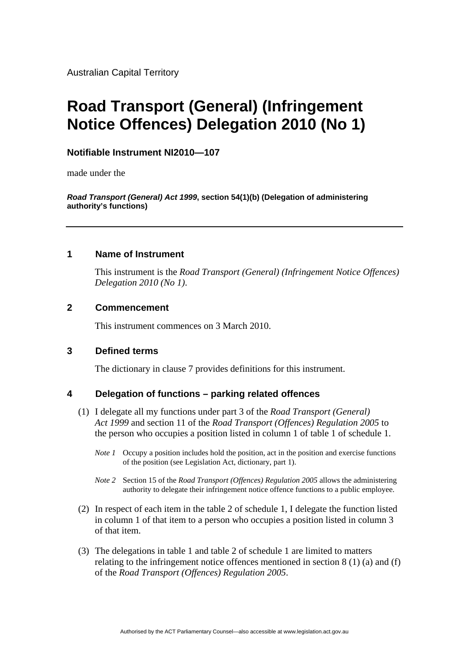Australian Capital Territory

# **Road Transport (General) (Infringement Notice Offences) Delegation 2010 (No 1)**

# **Notifiable Instrument NI2010—107**

made under the

*Road Transport (General) Act 1999***, section 54(1)(b) (Delegation of administering authority's functions)** 

### **1 Name of Instrument**

This instrument is the *Road Transport (General) (Infringement Notice Offences) Delegation 2010 (No 1)*.

## **2 Commencement**

This instrument commences on 3 March 2010.

## **3 Defined terms**

The dictionary in clause 7 provides definitions for this instrument.

## **4 Delegation of functions – parking related offences**

- (1) I delegate all my functions under part 3 of the *Road Transport (General) Act 1999* and section 11 of the *Road Transport (Offences) Regulation 2005* to the person who occupies a position listed in column 1 of table 1 of schedule 1.
	- *Note 1* Occupy a position includes hold the position, act in the position and exercise functions of the position (see Legislation Act, dictionary, part 1).
	- *Note 2* Section 15 of the *Road Transport (Offences) Regulation 2005* allows the administering authority to delegate their infringement notice offence functions to a public employee.
- (2) In respect of each item in the table 2 of schedule 1, I delegate the function listed in column 1 of that item to a person who occupies a position listed in column 3 of that item.
- (3) The delegations in table 1 and table 2 of schedule 1 are limited to matters relating to the infringement notice offences mentioned in section 8 (1) (a) and (f) of the *Road Transport (Offences) Regulation 2005*.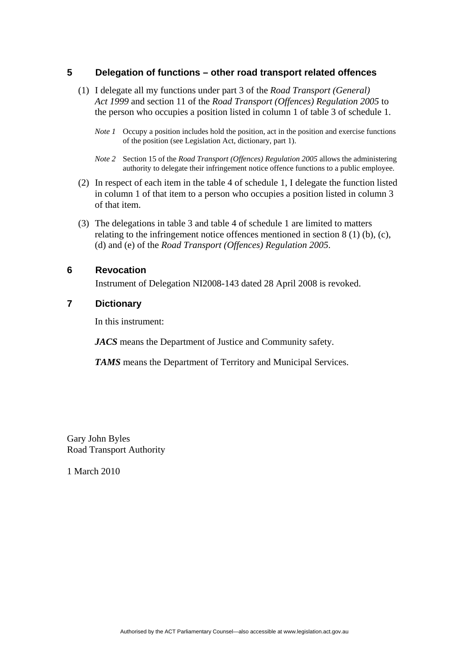# **5 Delegation of functions – other road transport related offences**

- (1) I delegate all my functions under part 3 of the *Road Transport (General) Act 1999* and section 11 of the *Road Transport (Offences) Regulation 2005* to the person who occupies a position listed in column 1 of table 3 of schedule 1.
	- *Note 1* Occupy a position includes hold the position, act in the position and exercise functions of the position (see Legislation Act, dictionary, part 1).
	- *Note 2* Section 15 of the *Road Transport (Offences) Regulation 2005* allows the administering authority to delegate their infringement notice offence functions to a public employee.
- (2) In respect of each item in the table 4 of schedule 1, I delegate the function listed in column 1 of that item to a person who occupies a position listed in column 3 of that item.
- (3) The delegations in table 3 and table 4 of schedule 1 are limited to matters relating to the infringement notice offences mentioned in section 8 (1) (b), (c), (d) and (e) of the *Road Transport (Offences) Regulation 2005*.

## **6 Revocation**

Instrument of Delegation NI2008-143 dated 28 April 2008 is revoked.

## **7 Dictionary**

In this instrument:

*JACS* means the Department of Justice and Community safety.

*TAMS* means the Department of Territory and Municipal Services.

Gary John Byles Road Transport Authority

1 March 2010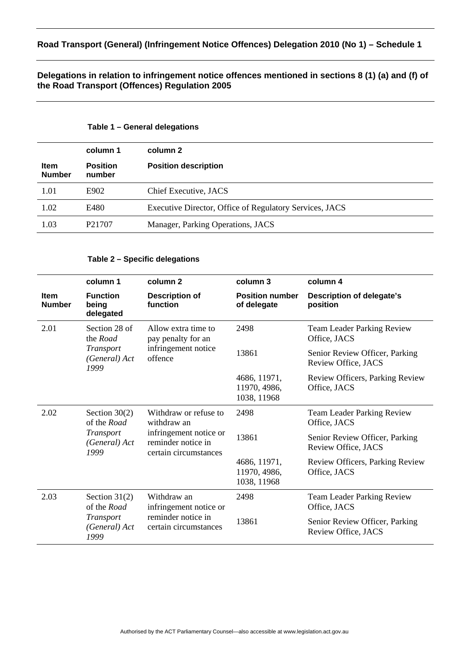## **Delegations in relation to infringement notice offences mentioned in sections 8 (1) (a) and (f) of the Road Transport (Offences) Regulation 2005**

#### **Table 1 – General delegations**

|                              | column 1                  | column 2                                                |
|------------------------------|---------------------------|---------------------------------------------------------|
| <b>Item</b><br><b>Number</b> | <b>Position</b><br>number | <b>Position description</b>                             |
| 1.01                         | E902                      | Chief Executive, JACS                                   |
| 1.02                         | E480                      | Executive Director, Office of Regulatory Services, JACS |
| 1.03                         | P <sub>2</sub> 1707       | Manager, Parking Operations, JACS                       |

#### **Table 2 – Specific delegations**

|                              | column 1                                                             | column <sub>2</sub>                                                                                           | column 3                                    | column 4                                              |
|------------------------------|----------------------------------------------------------------------|---------------------------------------------------------------------------------------------------------------|---------------------------------------------|-------------------------------------------------------|
| <b>Item</b><br><b>Number</b> | <b>Function</b><br>being<br>delegated                                | <b>Description of</b><br>function                                                                             | <b>Position number</b><br>of delegate       | <b>Description of delegate's</b><br>position          |
| 2.01                         | Section 28 of<br>the Road<br>Transport<br>(General) Act<br>1999      | Allow extra time to<br>pay penalty for an<br>infringement notice<br>offence                                   | 2498                                        | <b>Team Leader Parking Review</b><br>Office, JACS     |
|                              |                                                                      |                                                                                                               | 13861                                       | Senior Review Officer, Parking<br>Review Office, JACS |
|                              |                                                                      |                                                                                                               | 4686, 11971,<br>11970, 4986,<br>1038, 11968 | Review Officers, Parking Review<br>Office, JACS       |
| 2.02                         | Section $30(2)$<br>of the Road<br>Transport<br>(General) Act<br>1999 | Withdraw or refuse to<br>withdraw an<br>infringement notice or<br>reminder notice in<br>certain circumstances | 2498                                        | <b>Team Leader Parking Review</b><br>Office, JACS     |
|                              |                                                                      |                                                                                                               | 13861                                       | Senior Review Officer, Parking<br>Review Office, JACS |
|                              |                                                                      |                                                                                                               | 4686, 11971,<br>11970, 4986,<br>1038, 11968 | Review Officers, Parking Review<br>Office, JACS       |
| 2.03                         | Section $31(2)$<br>of the Road<br>Transport<br>(General) Act<br>1999 | Withdraw an<br>infringement notice or<br>reminder notice in<br>certain circumstances                          | 2498                                        | <b>Team Leader Parking Review</b><br>Office, JACS     |
|                              |                                                                      |                                                                                                               | 13861                                       | Senior Review Officer, Parking<br>Review Office, JACS |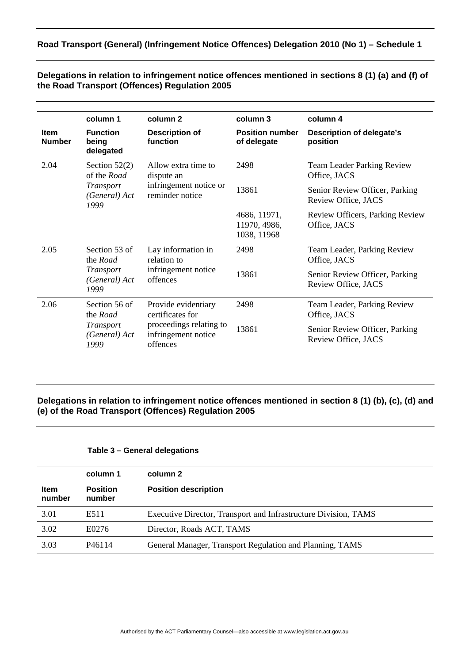# **Road Transport (General) (Infringement Notice Offences) Delegation 2010 (No 1) – Schedule 1**

|                              | column 1                                                             | column <sub>2</sub>                                                                                   | column 3                                    | column 4                                              |
|------------------------------|----------------------------------------------------------------------|-------------------------------------------------------------------------------------------------------|---------------------------------------------|-------------------------------------------------------|
| <b>Item</b><br><b>Number</b> | <b>Function</b><br>being<br>delegated                                | <b>Description of</b><br>function                                                                     | <b>Position number</b><br>of delegate       | <b>Description of delegate's</b><br>position          |
| 2.04                         | Section $52(2)$<br>of the Road<br>Transport<br>(General) Act<br>1999 | Allow extra time to<br>dispute an<br>infringement notice or<br>reminder notice                        | 2498                                        | <b>Team Leader Parking Review</b><br>Office, JACS     |
|                              |                                                                      |                                                                                                       | 13861                                       | Senior Review Officer, Parking<br>Review Office, JACS |
|                              |                                                                      |                                                                                                       | 4686, 11971,<br>11970, 4986,<br>1038, 11968 | Review Officers, Parking Review<br>Office, JACS       |
| 2.05                         | Section 53 of<br>the Road<br>Transport<br>(General) Act<br>1999      | Lay information in<br>relation to<br>infringement notice<br>offences                                  | 2498                                        | Team Leader, Parking Review<br>Office, JACS           |
|                              |                                                                      |                                                                                                       | 13861                                       | Senior Review Officer, Parking<br>Review Office, JACS |
| 2.06                         | Section 56 of<br>the Road<br>Transport<br>(General) Act<br>1999      | Provide evidentiary<br>certificates for<br>proceedings relating to<br>infringement notice<br>offences | 2498                                        | Team Leader, Parking Review<br>Office, JACS           |
|                              |                                                                      |                                                                                                       | 13861                                       | Senior Review Officer, Parking<br>Review Office, JACS |

**Delegations in relation to infringement notice offences mentioned in sections 8 (1) (a) and (f) of the Road Transport (Offences) Regulation 2005** 

## **Delegations in relation to infringement notice offences mentioned in section 8 (1) (b), (c), (d) and (e) of the Road Transport (Offences) Regulation 2005**

#### **Table 3 – General delegations**

|                       | column 1                  | column 2                                                        |
|-----------------------|---------------------------|-----------------------------------------------------------------|
| <b>Item</b><br>number | <b>Position</b><br>number | <b>Position description</b>                                     |
| 3.01                  | E511                      | Executive Director, Transport and Infrastructure Division, TAMS |
| 3.02                  | E0276                     | Director, Roads ACT, TAMS                                       |
| 3.03                  | P <sub>46114</sub>        | General Manager, Transport Regulation and Planning, TAMS        |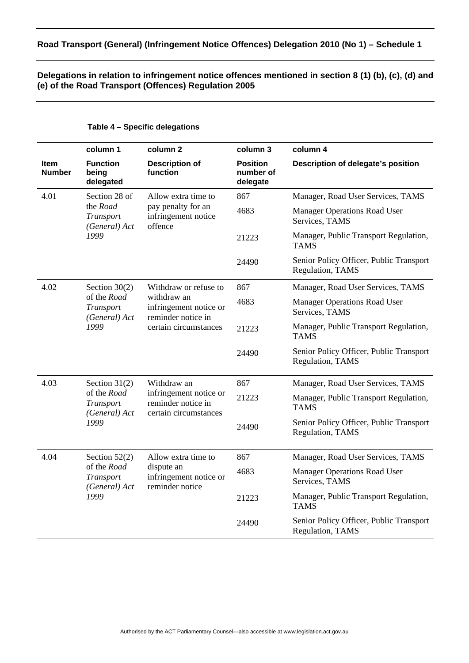# **Road Transport (General) (Infringement Notice Offences) Delegation 2010 (No 1) – Schedule 1**

# **Delegations in relation to infringement notice offences mentioned in section 8 (1) (b), (c), (d) and (e) of the Road Transport (Offences) Regulation 2005**

|                              | column 1                                                             | column 2                                                                                                      | column 3                                 | column 4                                                    |
|------------------------------|----------------------------------------------------------------------|---------------------------------------------------------------------------------------------------------------|------------------------------------------|-------------------------------------------------------------|
| <b>Item</b><br><b>Number</b> | <b>Function</b><br>being<br>delegated                                | <b>Description of</b><br>function                                                                             | <b>Position</b><br>number of<br>delegate | Description of delegate's position                          |
| 4.01                         | Section 28 of<br>the Road<br>Transport<br>(General) Act<br>1999      | Allow extra time to<br>pay penalty for an<br>infringement notice<br>offence                                   | 867                                      | Manager, Road User Services, TAMS                           |
|                              |                                                                      |                                                                                                               | 4683                                     | <b>Manager Operations Road User</b><br>Services, TAMS       |
|                              |                                                                      |                                                                                                               | 21223                                    | Manager, Public Transport Regulation,<br><b>TAMS</b>        |
|                              |                                                                      |                                                                                                               | 24490                                    | Senior Policy Officer, Public Transport<br>Regulation, TAMS |
| 4.02                         | Section $30(2)$                                                      | Withdraw or refuse to<br>withdraw an<br>infringement notice or<br>reminder notice in<br>certain circumstances | 867                                      | Manager, Road User Services, TAMS                           |
|                              | of the Road<br>Transport<br>(General) Act<br>1999                    |                                                                                                               | 4683                                     | <b>Manager Operations Road User</b><br>Services, TAMS       |
|                              |                                                                      |                                                                                                               | 21223                                    | Manager, Public Transport Regulation,<br><b>TAMS</b>        |
|                              |                                                                      |                                                                                                               | 24490                                    | Senior Policy Officer, Public Transport<br>Regulation, TAMS |
| 4.03                         | Section $31(2)$<br>of the Road<br>Transport<br>(General) Act<br>1999 | Withdraw an<br>infringement notice or<br>reminder notice in<br>certain circumstances                          | 867                                      | Manager, Road User Services, TAMS                           |
|                              |                                                                      |                                                                                                               | 21223                                    | Manager, Public Transport Regulation,<br><b>TAMS</b>        |
|                              |                                                                      |                                                                                                               | 24490                                    | Senior Policy Officer, Public Transport<br>Regulation, TAMS |
| 4.04                         | Section $52(2)$<br>of the Road<br>Transport<br>(General) Act<br>1999 | Allow extra time to                                                                                           | 867                                      | Manager, Road User Services, TAMS                           |
|                              |                                                                      | dispute an<br>infringement notice or<br>reminder notice                                                       | 4683                                     | <b>Manager Operations Road User</b><br>Services, TAMS       |
|                              |                                                                      |                                                                                                               | 21223                                    | Manager, Public Transport Regulation,<br><b>TAMS</b>        |
|                              |                                                                      |                                                                                                               | 24490                                    | Senior Policy Officer, Public Transport<br>Regulation, TAMS |

# **Table 4 – Specific delegations**